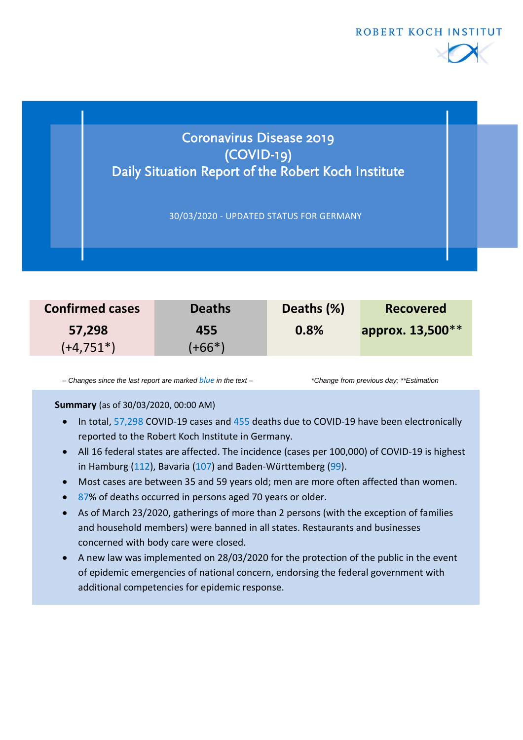



| <b>Confirmed cases</b> | <b>Deaths</b> | Deaths (%) | <b>Recovered</b> |
|------------------------|---------------|------------|------------------|
| 57,298                 | 455           | 0.8%       | approx. 13,500** |
| $(+4,751*)$            | $(+66*)$      |            |                  |

*– Changes since the last report are marked blue in the text – \*Change from previous day; \*\*Estimation*

### **Summary** (as of 30/03/2020, 00:00 AM)

- In total, 57,298 COVID-19 cases and 455 deaths due to COVID-19 have been electronically reported to the Robert Koch Institute in Germany.
- All 16 federal states are affected. The incidence (cases per 100,000) of COVID-19 is highest in Hamburg (112), Bavaria (107) and Baden-Württemberg (99).
- Most cases are between 35 and 59 years old; men are more often affected than women.
- 87% of deaths occurred in persons aged 70 years or older.
- As of March 23/2020, gatherings of more than 2 persons (with the exception of families and household members) were banned in all states. Restaurants and businesses concerned with body care were closed.
- A new law was implemented on 28/03/2020 for the protection of the public in the event of epidemic emergencies of national concern, endorsing the federal government with additional competencies for epidemic response.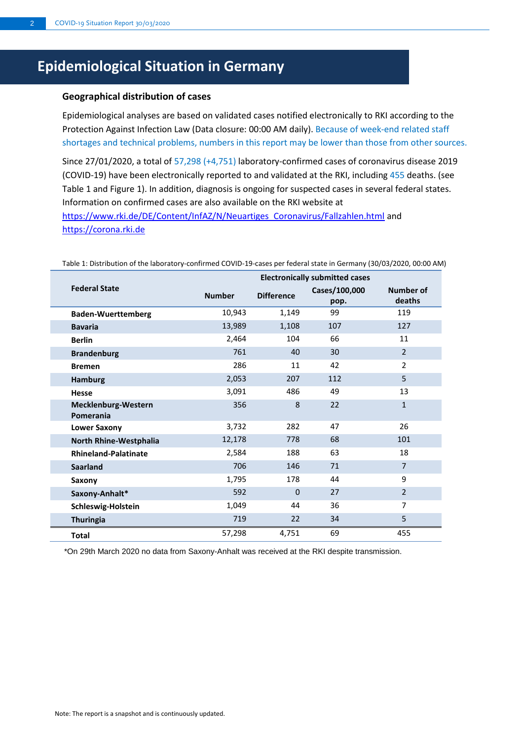# **Epidemiological Situation in Germany**

#### **Geographical distribution of cases**

Epidemiological analyses are based on validated cases notified electronically to RKI according to the Protection Against Infection Law (Data closure: 00:00 AM daily). Because of week-end related staff shortages and technical problems, numbers in this report may be lower than those from other sources.

Since 27/01/2020, a total of 57,298 (+4,751) laboratory-confirmed cases of coronavirus disease 2019 (COVID-19) have been electronically reported to and validated at the RKI, including 455 deaths. (see Table 1 and Figure 1). In addition, diagnosis is ongoing for suspected cases in several federal states. Information on confirmed cases are also available on the RKI website at [https://www.rki.de/DE/Content/InfAZ/N/Neuartiges\\_Coronavirus/Fallzahlen.html](https://www.rki.de/DE/Content/InfAZ/N/Neuartiges_Coronavirus/Fallzahlen.html) and [https://corona.rki.de](https://corona.rki.de/)

|                                  | <b>Electronically submitted cases</b> |                   |                       |                            |
|----------------------------------|---------------------------------------|-------------------|-----------------------|----------------------------|
| <b>Federal State</b>             | <b>Number</b>                         | <b>Difference</b> | Cases/100,000<br>pop. | <b>Number of</b><br>deaths |
| <b>Baden-Wuerttemberg</b>        | 10,943                                | 1,149             | 99                    | 119                        |
| <b>Bavaria</b>                   | 13,989                                | 1,108             | 107                   | 127                        |
| <b>Berlin</b>                    | 2,464                                 | 104               | 66                    | 11                         |
| <b>Brandenburg</b>               | 761                                   | 40                | 30                    | 2                          |
| <b>Bremen</b>                    | 286                                   | 11                | 42                    | $\overline{2}$             |
| <b>Hamburg</b>                   | 2,053                                 | 207               | 112                   | 5                          |
| <b>Hesse</b>                     | 3,091                                 | 486               | 49                    | 13                         |
| Mecklenburg-Western<br>Pomerania | 356                                   | $\mathbf{8}$      | 22                    | $\mathbf{1}$               |
| <b>Lower Saxony</b>              | 3,732                                 | 282               | 47                    | 26                         |
| North Rhine-Westphalia           | 12,178                                | 778               | 68                    | 101                        |
| <b>Rhineland-Palatinate</b>      | 2,584                                 | 188               | 63                    | 18                         |
| <b>Saarland</b>                  | 706                                   | 146               | 71                    | $\overline{7}$             |
| Saxony                           | 1,795                                 | 178               | 44                    | 9                          |
| Saxony-Anhalt*                   | 592                                   | $\Omega$          | 27                    | $\overline{2}$             |
| Schleswig-Holstein               | 1,049                                 | 44                | 36                    | $\overline{7}$             |
| <b>Thuringia</b>                 | 719                                   | 22                | 34                    | 5                          |
| <b>Total</b>                     | 57,298                                | 4,751             | 69                    | 455                        |

Table 1: Distribution of the laboratory-confirmed COVID-19-cases per federal state in Germany (30/03/2020, 00:00 AM)

\*On 29th March 2020 no data from Saxony-Anhalt was received at the RKI despite transmission.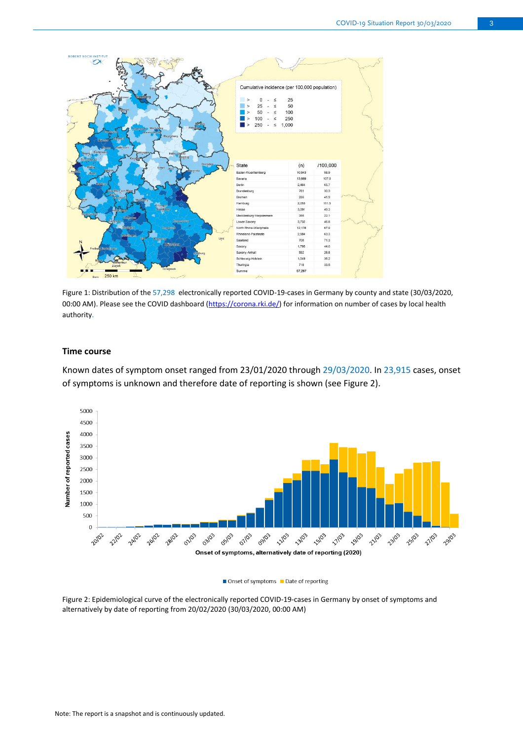

Figure 1: Distribution of the 57,298 electronically reported COVID-19-cases in Germany by county and state (30/03/2020, 00:00 AM). Please see the COVID dashboard [\(https://corona.rki.de/\)](https://corona.rki.de/) for information on number of cases by local health authority.

#### **Time course**

Known dates of symptom onset ranged from 23/01/2020 through 29/03/2020. In 23,915 cases, onset of symptoms is unknown and therefore date of reporting is shown (see Figure 2).



#### $\blacksquare$  Onset of symptoms  $\blacksquare$  Date of reporting

Figure 2: Epidemiological curve of the electronically reported COVID-19-cases in Germany by onset of symptoms and alternatively by date of reporting from 20/02/2020 (30/03/2020, 00:00 AM)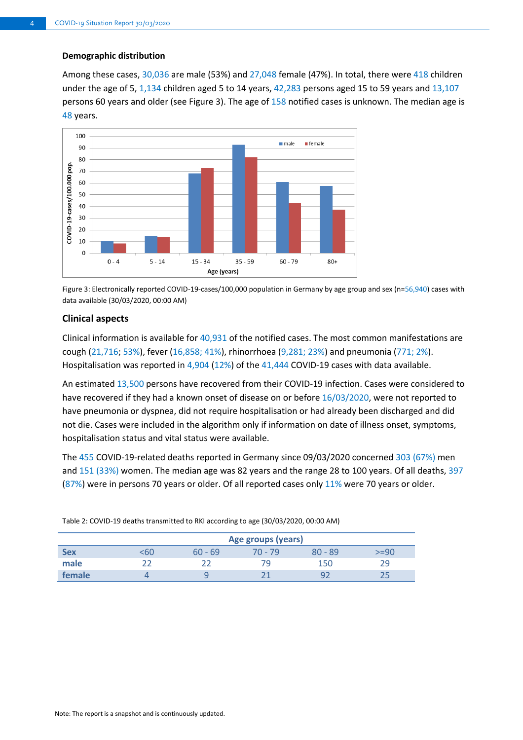#### **Demographic distribution**

Among these cases, 30,036 are male (53%) and 27,048 female (47%). In total, there were 418 children under the age of 5, 1,134 children aged 5 to 14 years, 42,283 persons aged 15 to 59 years and 13,107 persons 60 years and older (see Figure 3). The age of 158 notified cases is unknown. The median age is 48 years.



Figure 3: Electronically reported COVID-19-cases/100,000 population in Germany by age group and sex (n=56,940) cases with data available (30/03/2020, 00:00 AM)

#### **Clinical aspects**

Clinical information is available for 40,931 of the notified cases. The most common manifestations are cough (21,716; 53%), fever (16,858; 41%), rhinorrhoea (9,281; 23%) and pneumonia (771; 2%). Hospitalisation was reported in 4,904 (12%) of the 41,444 COVID-19 cases with data available.

An estimated 13,500 persons have recovered from their COVID-19 infection. Cases were considered to have recovered if they had a known onset of disease on or before 16/03/2020, were not reported to have pneumonia or dyspnea, did not require hospitalisation or had already been discharged and did not die. Cases were included in the algorithm only if information on date of illness onset, symptoms, hospitalisation status and vital status were available.

The 455 COVID-19-related deaths reported in Germany since 09/03/2020 concerned 303 (67%) men and 151 (33%) women. The median age was 82 years and the range 28 to 100 years. Of all deaths, 397 (87%) were in persons 70 years or older. Of all reported cases only 11% were 70 years or older.

|            |     | Age groups (years) |         |           |      |  |  |  |
|------------|-----|--------------------|---------|-----------|------|--|--|--|
| <b>Sex</b> | د60 | $60 - 69$          | 70 - 79 | $80 - 89$ | >=90 |  |  |  |
| male       |     |                    | 79      | 150       | 29   |  |  |  |
| female     |     |                    |         | u         |      |  |  |  |

Table 2: COVID-19 deaths transmitted to RKI according to age (30/03/2020, 00:00 AM)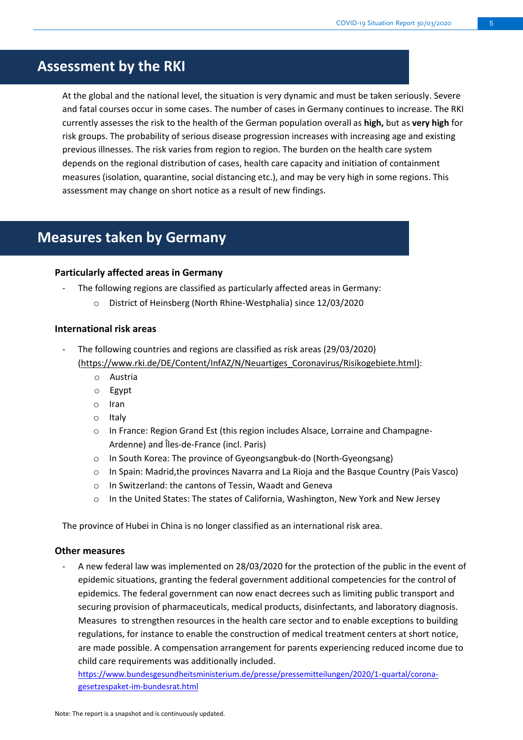## **Assessment by the RKI**

At the global and the national level, the situation is very dynamic and must be taken seriously. Severe and fatal courses occur in some cases. The number of cases in Germany continues to increase. The RKI currently assesses the risk to the health of the German population overall as **high,** but as **very high** for risk groups. The probability of serious disease progression increases with increasing age and existing previous illnesses. The risk varies from region to region. The burden on the health care system depends on the regional distribution of cases, health care capacity and initiation of containment measures (isolation, quarantine, social distancing etc.), and may be very high in some regions. This assessment may change on short notice as a result of new findings.

### **Measures taken by Germany**

#### **Particularly affected areas in Germany**

- The following regions are classified as particularly affected areas in Germany:
	- o District of Heinsberg (North Rhine-Westphalia) since 12/03/2020

#### **International risk areas**

- The following countries and regions are classified as risk areas (29/03/2020) [\(https://www.rki.de/DE/Content/InfAZ/N/Neuartiges\\_Coronavirus/Risikogebiete.html\)](https://www.rki.de/DE/Content/InfAZ/N/Neuartiges_Coronavirus/Risikogebiete.html):
	- o Austria
	- o Egypt
	- o Iran
	- o Italy
	- o In France: Region Grand Est (this region includes Alsace, Lorraine and Champagne-Ardenne) and Îles-de-France (incl. Paris)
	- o In South Korea: The province of Gyeongsangbuk-do (North-Gyeongsang)
	- o In Spain: Madrid,the provinces Navarra and La Rioja and the Basque Country (Pais Vasco)
	- o In Switzerland: the cantons of Tessin, Waadt and Geneva
	- o In the United States: The states of California, Washington, New York and New Jersey

The province of Hubei in China is no longer classified as an international risk area.

#### **Other measures**

A new federal law was implemented on 28/03/2020 for the protection of the public in the event of epidemic situations, granting the federal government additional competencies for the control of epidemics. The federal government can now enact decrees such as limiting public transport and securing provision of pharmaceuticals, medical products, disinfectants, and laboratory diagnosis. Measures to strengthen resources in the health care sector and to enable exceptions to building regulations, for instance to enable the construction of medical treatment centers at short notice, are made possible. A compensation arrangement for parents experiencing reduced income due to child care requirements was additionally included.

[https://www.bundesgesundheitsministerium.de/presse/pressemitteilungen/2020/1-quartal/corona](https://www.bundesgesundheitsministerium.de/presse/pressemitteilungen/2020/1-quartal/corona-gesetzespaket-im-bundesrat.html)[gesetzespaket-im-bundesrat.html](https://www.bundesgesundheitsministerium.de/presse/pressemitteilungen/2020/1-quartal/corona-gesetzespaket-im-bundesrat.html)